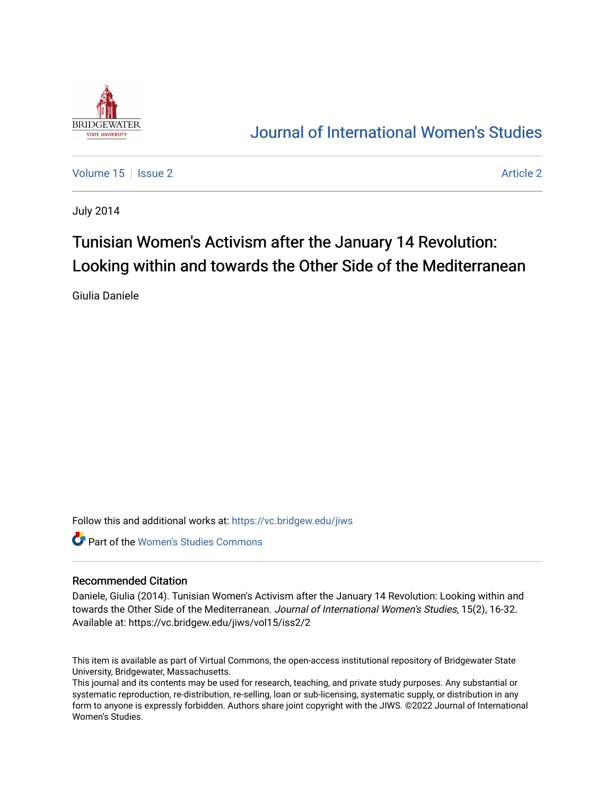

## [Journal of International Women's Studies](https://vc.bridgew.edu/jiws)

[Volume 15](https://vc.bridgew.edu/jiws/vol15) Setsue 2 [Article 2](https://vc.bridgew.edu/jiws/vol15/iss2/2) Article 2 Article 2 Article 2 Article 2 Article 2 Article 2

July 2014

# Tunisian Women's Activism after the January 14 Revolution: Looking within and towards the Other Side of the Mediterranean

Giulia Daniele

Follow this and additional works at: [https://vc.bridgew.edu/jiws](https://vc.bridgew.edu/jiws?utm_source=vc.bridgew.edu%2Fjiws%2Fvol15%2Fiss2%2F2&utm_medium=PDF&utm_campaign=PDFCoverPages)

**C** Part of the Women's Studies Commons

#### Recommended Citation

Daniele, Giulia (2014). Tunisian Women's Activism after the January 14 Revolution: Looking within and towards the Other Side of the Mediterranean. Journal of International Women's Studies, 15(2), 16-32. Available at: https://vc.bridgew.edu/jiws/vol15/iss2/2

This item is available as part of Virtual Commons, the open-access institutional repository of Bridgewater State University, Bridgewater, Massachusetts.

This journal and its contents may be used for research, teaching, and private study purposes. Any substantial or systematic reproduction, re-distribution, re-selling, loan or sub-licensing, systematic supply, or distribution in any form to anyone is expressly forbidden. Authors share joint copyright with the JIWS. ©2022 Journal of International Women's Studies.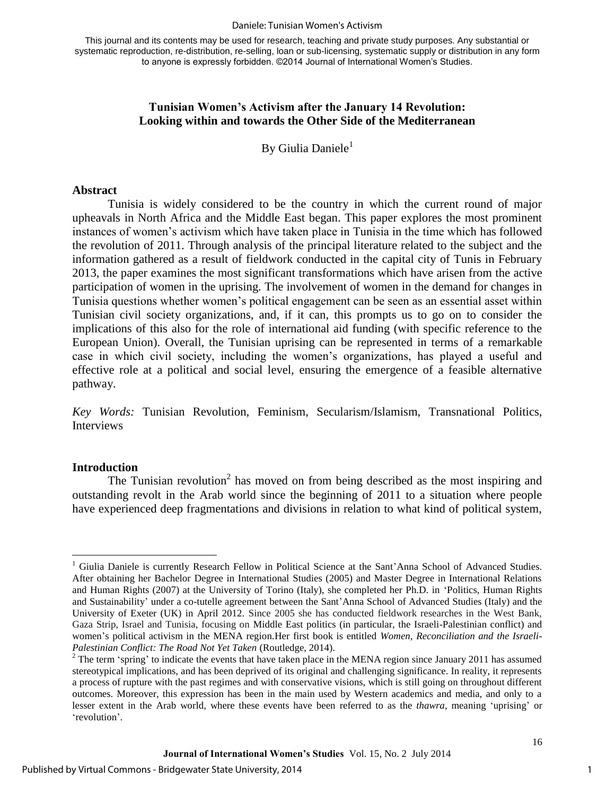#### Daniele: Tunisian Women's Activism

This journal and its contents may be used for research, teaching and private study purposes. Any substantial or systematic reproduction, re-distribution, re-selling, loan or sub-licensing, systematic supply or distribution in any form to anyone is expressly forbidden. ©2014 Journal of International Women's Studies.

#### **Tunisian Women's Activism after the January 14 Revolution: Looking within and towards the Other Side of the Mediterranean**

By Giulia Daniele<sup>1</sup>

#### **Abstract**

Tunisia is widely considered to be the country in which the current round of major upheavals in North Africa and the Middle East began. This paper explores the most prominent instances of women's activism which have taken place in Tunisia in the time which has followed the revolution of 2011. Through analysis of the principal literature related to the subject and the information gathered as a result of fieldwork conducted in the capital city of Tunis in February 2013, the paper examines the most significant transformations which have arisen from the active participation of women in the uprising. The involvement of women in the demand for changes in Tunisia questions whether women's political engagement can be seen as an essential asset within Tunisian civil society organizations, and, if it can, this prompts us to go on to consider the implications of this also for the role of international aid funding (with specific reference to the European Union). Overall, the Tunisian uprising can be represented in terms of a remarkable case in which civil society, including the women's organizations, has played a useful and effective role at a political and social level, ensuring the emergence of a feasible alternative pathway.

*Key Words:* Tunisian Revolution, Feminism, Secularism/Islamism, Transnational Politics, Interviews

#### **Introduction**

The Tunisian revolution<sup>2</sup> has moved on from being described as the most inspiring and outstanding revolt in the Arab world since the beginning of 2011 to a situation where people have experienced deep fragmentations and divisions in relation to what kind of political system,

1

 $\overline{a}$ <sup>1</sup> Giulia Daniele is currently Research Fellow in Political Science at the Sant'Anna School of Advanced Studies. After obtaining her Bachelor Degree in International Studies (2005) and Master Degree in International Relations and Human Rights (2007) at the University of Torino (Italy), she completed her Ph.D. in 'Politics, Human Rights and Sustainability' under a co-tutelle agreement between the Sant'Anna School of Advanced Studies (Italy) and the University of Exeter (UK) in April 2012. Since 2005 she has conducted fieldwork researches in the West Bank, Gaza Strip, Israel and Tunisia, focusing on Middle East politics (in particular, the Israeli-Palestinian conflict) and women's political activism in the MENA region.Her first book is entitled *Women, Reconciliation and the Israeli-Palestinian Conflict: The Road Not Yet Taken* (Routledge, 2014).

 $2^2$  The term 'spring' to indicate the events that have taken place in the MENA region since January 2011 has assumed stereotypical implications, and has been deprived of its original and challenging significance. In reality, it represents a process of rupture with the past regimes and with conservative visions, which is still going on throughout different outcomes. Moreover, this expression has been in the main used by Western academics and media, and only to a lesser extent in the Arab world, where these events have been referred to as the *thawra*, meaning 'uprising' or 'revolution'.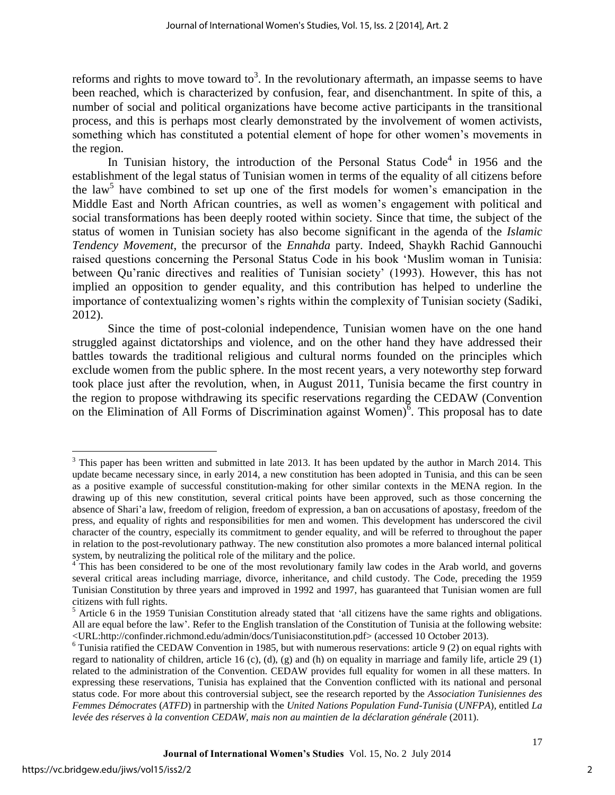reforms and rights to move toward to<sup>3</sup>. In the revolutionary aftermath, an impasse seems to have been reached, which is characterized by confusion, fear, and disenchantment. In spite of this, a number of social and political organizations have become active participants in the transitional process, and this is perhaps most clearly demonstrated by the involvement of women activists, something which has constituted a potential element of hope for other women's movements in the region.

In Tunisian history, the introduction of the Personal Status  $Code<sup>4</sup>$  in 1956 and the establishment of the legal status of Tunisian women in terms of the equality of all citizens before the law<sup>5</sup> have combined to set up one of the first models for women's emancipation in the Middle East and North African countries, as well as women's engagement with political and social transformations has been deeply rooted within society. Since that time, the subject of the status of women in Tunisian society has also become significant in the agenda of the *Islamic Tendency Movement*, the precursor of the *Ennahda* party. Indeed, Shaykh Rachid Gannouchi raised questions concerning the Personal Status Code in his book 'Muslim woman in Tunisia: between Qu'ranic directives and realities of Tunisian society' (1993). However, this has not implied an opposition to gender equality, and this contribution has helped to underline the importance of contextualizing women's rights within the complexity of Tunisian society (Sadiki, 2012).

Since the time of post-colonial independence, Tunisian women have on the one hand struggled against dictatorships and violence, and on the other hand they have addressed their battles towards the traditional religious and cultural norms founded on the principles which exclude women from the public sphere. In the most recent years, a very noteworthy step forward took place just after the revolution, when, in August 2011, Tunisia became the first country in the region to propose withdrawing its specific reservations regarding the CEDAW (Convention on the Elimination of All Forms of Discrimination against Women) $\overline{6}$ . This proposal has to date

 $\overline{a}$ 

 $3$  This paper has been written and submitted in late 2013. It has been updated by the author in March 2014. This update became necessary since, in early 2014, a new constitution has been adopted in Tunisia, and this can be seen as a positive example of successful constitution-making for other similar contexts in the MENA region. In the drawing up of this new constitution, several critical points have been approved, such as those concerning the absence of Shari'a law, freedom of religion, freedom of expression, a ban on accusations of apostasy, freedom of the press, and equality of rights and responsibilities for men and women. This development has underscored the civil character of the country, especially its commitment to gender equality, and will be referred to throughout the paper in relation to the post-revolutionary pathway. The new constitution also promotes a more balanced internal political

system, by neutralizing the political role of the military and the police.<br><sup>4</sup> This has been considered to be one of the most revolutionary family law codes in the Arab world, and governs several critical areas including marriage, divorce, inheritance, and child custody. The Code, preceding the 1959 Tunisian Constitution by three years and improved in 1992 and 1997, has guaranteed that Tunisian women are full citizens with full rights.

<sup>&</sup>lt;sup>5</sup> Article 6 in the 1959 Tunisian Constitution already stated that 'all citizens have the same rights and obligations. All are equal before the law'. Refer to the English translation of the Constitution of Tunisia at the following website: <URL:http://confinder.richmond.edu/admin/docs/Tunisiaconstitution.pdf> (accessed 10 October 2013).

 $6$  Tunisia ratified the CEDAW Convention in 1985, but with numerous reservations: article 9 (2) on equal rights with regard to nationality of children, article 16 (c), (d), (g) and (h) on equality in marriage and family life, article 29 (1) related to the administration of the Convention. CEDAW provides full equality for women in all these matters. In expressing these reservations, Tunisia has explained that the Convention conflicted with its national and personal status code. For more about this controversial subject, see the research reported by the *Association Tunisiennes des Femmes Démocrates* (*ATFD*) in partnership with the *United Nations Population Fund-Tunisia* (*UNFPA*), entitled *La levée des réserves à la convention CEDAW, mais non au maintien de la déclaration générale* (2011).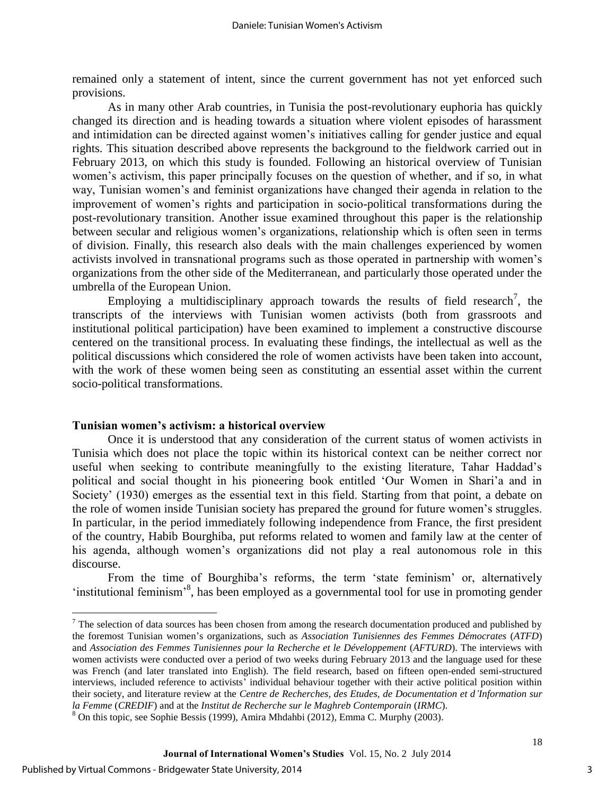remained only a statement of intent, since the current government has not yet enforced such provisions.

As in many other Arab countries, in Tunisia the post-revolutionary euphoria has quickly changed its direction and is heading towards a situation where violent episodes of harassment and intimidation can be directed against women's initiatives calling for gender justice and equal rights. This situation described above represents the background to the fieldwork carried out in February 2013, on which this study is founded. Following an historical overview of Tunisian women's activism, this paper principally focuses on the question of whether, and if so, in what way, Tunisian women's and feminist organizations have changed their agenda in relation to the improvement of women's rights and participation in socio-political transformations during the post-revolutionary transition. Another issue examined throughout this paper is the relationship between secular and religious women's organizations, relationship which is often seen in terms of division. Finally, this research also deals with the main challenges experienced by women activists involved in transnational programs such as those operated in partnership with women's organizations from the other side of the Mediterranean, and particularly those operated under the umbrella of the European Union.

Employing a multidisciplinary approach towards the results of field research<sup>7</sup>, the transcripts of the interviews with Tunisian women activists (both from grassroots and institutional political participation) have been examined to implement a constructive discourse centered on the transitional process. In evaluating these findings, the intellectual as well as the political discussions which considered the role of women activists have been taken into account, with the work of these women being seen as constituting an essential asset within the current socio-political transformations.

#### **Tunisian women's activism: a historical overview**

Once it is understood that any consideration of the current status of women activists in Tunisia which does not place the topic within its historical context can be neither correct nor useful when seeking to contribute meaningfully to the existing literature, Tahar Haddad's political and social thought in his pioneering book entitled 'Our Women in Shari'a and in Society' (1930) emerges as the essential text in this field. Starting from that point, a debate on the role of women inside Tunisian society has prepared the ground for future women's struggles. In particular, in the period immediately following independence from France, the first president of the country, Habib Bourghiba, put reforms related to women and family law at the center of his agenda, although women's organizations did not play a real autonomous role in this discourse.

From the time of Bourghiba's reforms, the term 'state feminism' or, alternatively 'institutional feminism<sup>38</sup>, has been employed as a governmental tool for use in promoting gender

 $\overline{a}$ 

 $<sup>7</sup>$  The selection of data sources has been chosen from among the research documentation produced and published by</sup> the foremost Tunisian women's organizations, such as *Association Tunisiennes des Femmes Démocrates* (*ATFD*) and *Association des Femmes Tunisiennes pour la Recherche et le Développement (AFTURD)*. The interviews with women activists were conducted over a period of two weeks during February 2013 and the language used for these was French (and later translated into English). The field research, based on fifteen open-ended semi-structured interviews, included reference to activists' individual behaviour together with their active political position within their society, and literature review at the *Centre de Recherches, des Etudes, de Documentation et d'Information sur la Femme* (*CREDIF*) and at the *Institut de Recherche sur le Maghreb Contemporain* (*IRMC*).

 $8$  On this topic, see Sophie Bessis (1999), Amira Mhdahbi (2012), Emma C. Murphy (2003).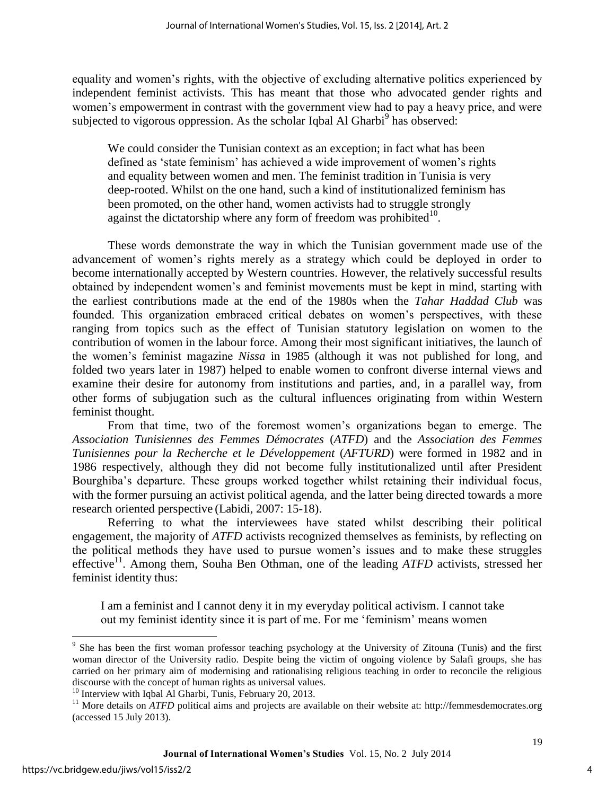equality and women's rights, with the objective of excluding alternative politics experienced by independent feminist activists. This has meant that those who advocated gender rights and women's empowerment in contrast with the government view had to pay a heavy price, and were subjected to vigorous oppression. As the scholar Iqbal Al Gharbi<sup>9</sup> has observed:

We could consider the Tunisian context as an exception; in fact what has been defined as 'state feminism' has achieved a wide improvement of women's rights and equality between women and men. The feminist tradition in Tunisia is very deep-rooted. Whilst on the one hand, such a kind of institutionalized feminism has been promoted, on the other hand, women activists had to struggle strongly against the dictatorship where any form of freedom was prohibited $10$ .

These words demonstrate the way in which the Tunisian government made use of the advancement of women's rights merely as a strategy which could be deployed in order to become internationally accepted by Western countries. However, the relatively successful results obtained by independent women's and feminist movements must be kept in mind, starting with the earliest contributions made at the end of the 1980s when the *Tahar Haddad Club* was founded. This organization embraced critical debates on women's perspectives, with these ranging from topics such as the effect of Tunisian statutory legislation on women to the contribution of women in the labour force. Among their most significant initiatives, the launch of the women's feminist magazine *Nissa* in 1985 (although it was not published for long, and folded two years later in 1987) helped to enable women to confront diverse internal views and examine their desire for autonomy from institutions and parties, and, in a parallel way, from other forms of subjugation such as the cultural influences originating from within Western feminist thought.

From that time, two of the foremost women's organizations began to emerge. The *Association Tunisiennes des Femmes Démocrates* (*ATFD*) and the *Association des Femmes Tunisiennes pour la Recherche et le Développement* (*AFTURD*) were formed in 1982 and in 1986 respectively, although they did not become fully institutionalized until after President Bourghiba's departure. These groups worked together whilst retaining their individual focus, with the former pursuing an activist political agenda, and the latter being directed towards a more research oriented perspective (Labidi, 2007: 15-18).

Referring to what the interviewees have stated whilst describing their political engagement, the majority of *ATFD* activists recognized themselves as feminists, by reflecting on the political methods they have used to pursue women's issues and to make these struggles effective<sup>11</sup>. Among them, Souha Ben Othman, one of the leading *ATFD* activists, stressed her feminist identity thus:

I am a feminist and I cannot deny it in my everyday political activism. I cannot take out my feminist identity since it is part of me. For me 'feminism' means women

 $\overline{a}$ 

<sup>&</sup>lt;sup>9</sup> She has been the first woman professor teaching psychology at the University of Zitouna (Tunis) and the first woman director of the University radio. Despite being the victim of ongoing violence by Salafi groups, she has carried on her primary aim of modernising and rationalising religious teaching in order to reconcile the religious discourse with the concept of human rights as universal values.

<sup>&</sup>lt;sup>10</sup> Interview with Iqbal Al Gharbi, Tunis, February 20, 2013.

<sup>&</sup>lt;sup>11</sup> More details on *ATFD* political aims and projects are available on their website at: http://femmesdemocrates.org (accessed 15 July 2013).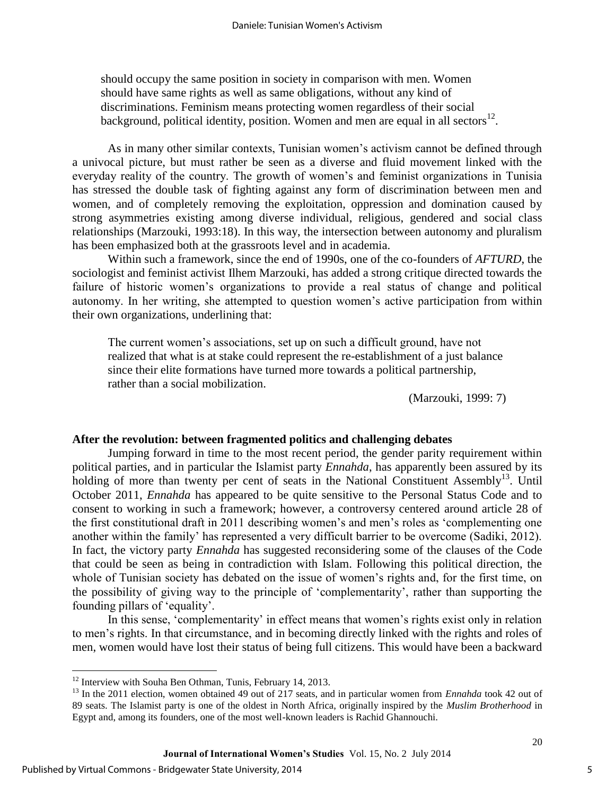should occupy the same position in society in comparison with men. Women should have same rights as well as same obligations, without any kind of discriminations. Feminism means protecting women regardless of their social background, political identity, position. Women and men are equal in all sectors $^{12}$ .

As in many other similar contexts, Tunisian women's activism cannot be defined through a univocal picture, but must rather be seen as a diverse and fluid movement linked with the everyday reality of the country. The growth of women's and feminist organizations in Tunisia has stressed the double task of fighting against any form of discrimination between men and women, and of completely removing the exploitation, oppression and domination caused by strong asymmetries existing among diverse individual, religious, gendered and social class relationships (Marzouki, 1993:18). In this way, the intersection between autonomy and pluralism has been emphasized both at the grassroots level and in academia.

Within such a framework, since the end of 1990s, one of the co-founders of *AFTURD*, the sociologist and feminist activist Ilhem Marzouki, has added a strong critique directed towards the failure of historic women's organizations to provide a real status of change and political autonomy. In her writing, she attempted to question women's active participation from within their own organizations, underlining that:

The current women's associations, set up on such a difficult ground, have not realized that what is at stake could represent the re-establishment of a just balance since their elite formations have turned more towards a political partnership, rather than a social mobilization.

(Marzouki, 1999: 7)

#### **After the revolution: between fragmented politics and challenging debates**

Jumping forward in time to the most recent period, the gender parity requirement within political parties, and in particular the Islamist party *Ennahda*, has apparently been assured by its holding of more than twenty per cent of seats in the National Constituent Assembly<sup>13</sup>. Until October 2011, *Ennahda* has appeared to be quite sensitive to the Personal Status Code and to consent to working in such a framework; however, a controversy centered around article 28 of the first constitutional draft in 2011 describing women's and men's roles as 'complementing one another within the family' has represented a very difficult barrier to be overcome (Sadiki, 2012). In fact, the victory party *Ennahda* has suggested reconsidering some of the clauses of the Code that could be seen as being in contradiction with Islam. Following this political direction, the whole of Tunisian society has debated on the issue of women's rights and, for the first time, on the possibility of giving way to the principle of 'complementarity', rather than supporting the founding pillars of 'equality'.

In this sense, 'complementarity' in effect means that women's rights exist only in relation to men's rights. In that circumstance, and in becoming directly linked with the rights and roles of men, women would have lost their status of being full citizens. This would have been a backward

 $\overline{a}$ 

 $12$  Interview with Souha Ben Othman, Tunis, February 14, 2013.

<sup>&</sup>lt;sup>13</sup> In the 2011 election, women obtained 49 out of 217 seats, and in particular women from *Ennahda* took 42 out of 89 seats. The Islamist party is one of the oldest in North Africa, originally inspired by the *Muslim Brotherhood* in Egypt and, among its founders, one of the most well-known leaders is Rachid Ghannouchi.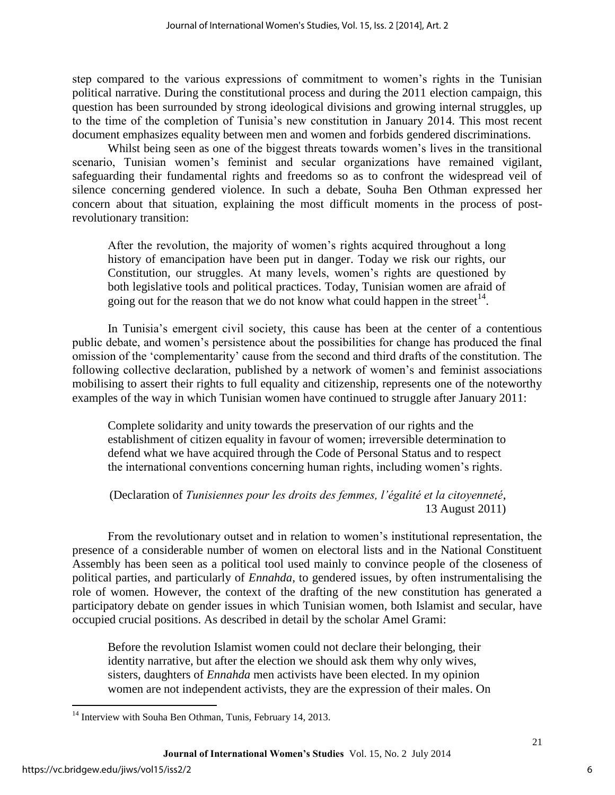step compared to the various expressions of commitment to women's rights in the Tunisian political narrative. During the constitutional process and during the 2011 election campaign, this question has been surrounded by strong ideological divisions and growing internal struggles, up to the time of the completion of Tunisia's new constitution in January 2014. This most recent document emphasizes equality between men and women and forbids gendered discriminations.

Whilst being seen as one of the biggest threats towards women's lives in the transitional scenario, Tunisian women's feminist and secular organizations have remained vigilant, safeguarding their fundamental rights and freedoms so as to confront the widespread veil of silence concerning gendered violence. In such a debate, Souha Ben Othman expressed her concern about that situation, explaining the most difficult moments in the process of postrevolutionary transition:

After the revolution, the majority of women's rights acquired throughout a long history of emancipation have been put in danger. Today we risk our rights, our Constitution, our struggles. At many levels, women's rights are questioned by both legislative tools and political practices. Today, Tunisian women are afraid of going out for the reason that we do not know what could happen in the street<sup>14</sup>.

In Tunisia's emergent civil society, this cause has been at the center of a contentious public debate, and women's persistence about the possibilities for change has produced the final omission of the 'complementarity' cause from the second and third drafts of the constitution. The following collective declaration, published by a network of women's and feminist associations mobilising to assert their rights to full equality and citizenship, represents one of the noteworthy examples of the way in which Tunisian women have continued to struggle after January 2011:

Complete solidarity and unity towards the preservation of our rights and the establishment of citizen equality in favour of women; irreversible determination to defend what we have acquired through the Code of Personal Status and to respect the international conventions concerning human rights, including women's rights.

(Declaration of *Tunisiennes pour les droits des femmes, l'égalité et la citoyenneté*, 13 August 2011)

From the revolutionary outset and in relation to women's institutional representation, the presence of a considerable number of women on electoral lists and in the National Constituent Assembly has been seen as a political tool used mainly to convince people of the closeness of political parties, and particularly of *Ennahda*, to gendered issues, by often instrumentalising the role of women. However, the context of the drafting of the new constitution has generated a participatory debate on gender issues in which Tunisian women, both Islamist and secular, have occupied crucial positions. As described in detail by the scholar Amel Grami:

Before the revolution Islamist women could not declare their belonging, their identity narrative, but after the election we should ask them why only wives, sisters, daughters of *Ennahda* men activists have been elected. In my opinion women are not independent activists, they are the expression of their males. On

 $\overline{a}$ 

 $14$  Interview with Souha Ben Othman, Tunis, February 14, 2013.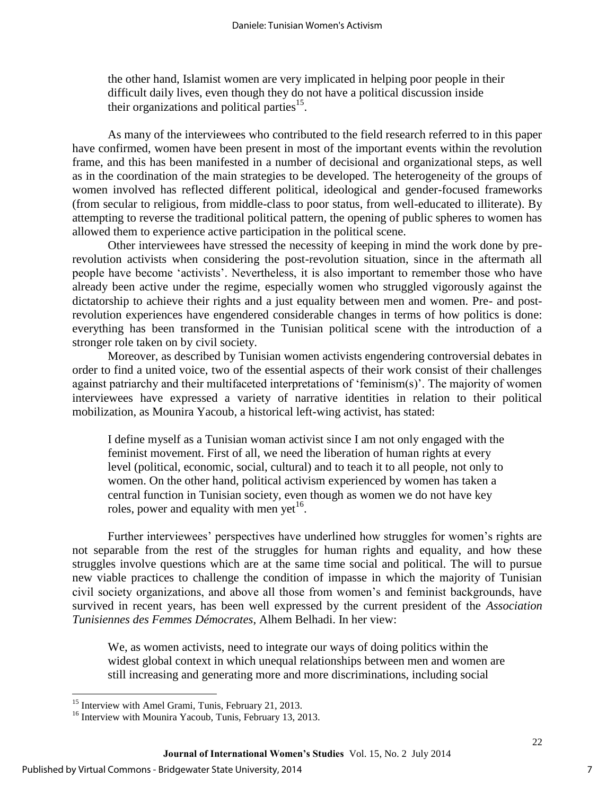the other hand, Islamist women are very implicated in helping poor people in their difficult daily lives, even though they do not have a political discussion inside their organizations and political parties<sup>15</sup>.

As many of the interviewees who contributed to the field research referred to in this paper have confirmed, women have been present in most of the important events within the revolution frame, and this has been manifested in a number of decisional and organizational steps, as well as in the coordination of the main strategies to be developed. The heterogeneity of the groups of women involved has reflected different political, ideological and gender-focused frameworks (from secular to religious, from middle-class to poor status, from well-educated to illiterate). By attempting to reverse the traditional political pattern, the opening of public spheres to women has allowed them to experience active participation in the political scene.

Other interviewees have stressed the necessity of keeping in mind the work done by prerevolution activists when considering the post-revolution situation, since in the aftermath all people have become 'activists'. Nevertheless, it is also important to remember those who have already been active under the regime, especially women who struggled vigorously against the dictatorship to achieve their rights and a just equality between men and women. Pre- and postrevolution experiences have engendered considerable changes in terms of how politics is done: everything has been transformed in the Tunisian political scene with the introduction of a stronger role taken on by civil society.

Moreover, as described by Tunisian women activists engendering controversial debates in order to find a united voice, two of the essential aspects of their work consist of their challenges against patriarchy and their multifaceted interpretations of 'feminism(s)'. The majority of women interviewees have expressed a variety of narrative identities in relation to their political mobilization, as Mounira Yacoub, a historical left-wing activist, has stated:

I define myself as a Tunisian woman activist since I am not only engaged with the feminist movement. First of all, we need the liberation of human rights at every level (political, economic, social, cultural) and to teach it to all people, not only to women. On the other hand, political activism experienced by women has taken a central function in Tunisian society, even though as women we do not have key roles, power and equality with men yet<sup>16</sup>.

Further interviewees' perspectives have underlined how struggles for women's rights are not separable from the rest of the struggles for human rights and equality, and how these struggles involve questions which are at the same time social and political. The will to pursue new viable practices to challenge the condition of impasse in which the majority of Tunisian civil society organizations, and above all those from women's and feminist backgrounds, have survived in recent years, has been well expressed by the current president of the *Association Tunisiennes des Femmes Démocrates*, Alhem Belhadi. In her view:

We, as women activists, need to integrate our ways of doing politics within the widest global context in which unequal relationships between men and women are still increasing and generating more and more discriminations, including social

 $\overline{a}$ 

<sup>&</sup>lt;sup>15</sup> Interview with Amel Grami, Tunis, February 21, 2013.

<sup>&</sup>lt;sup>16</sup> Interview with Mounira Yacoub, Tunis, February 13, 2013.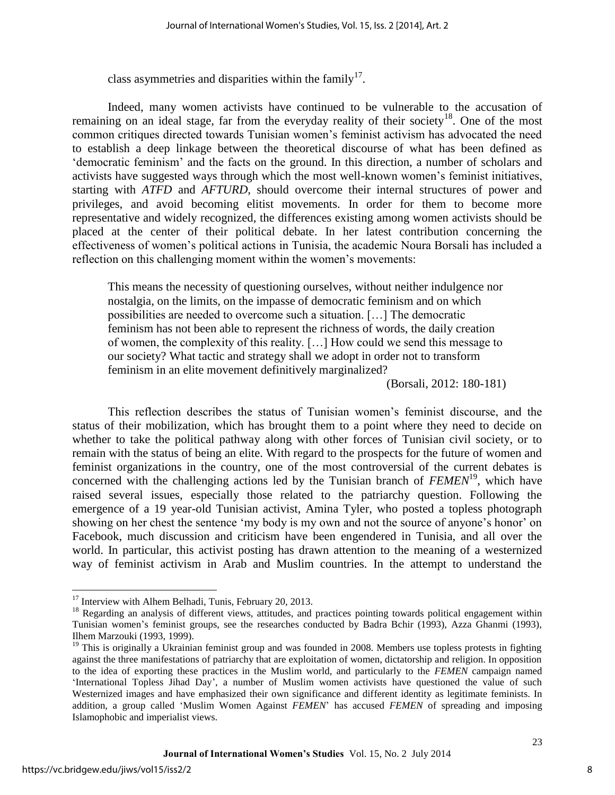class asymmetries and disparities within the family<sup>17</sup>.

Indeed, many women activists have continued to be vulnerable to the accusation of remaining on an ideal stage, far from the everyday reality of their society<sup>18</sup>. One of the most common critiques directed towards Tunisian women's feminist activism has advocated the need to establish a deep linkage between the theoretical discourse of what has been defined as 'democratic feminism' and the facts on the ground. In this direction, a number of scholars and activists have suggested ways through which the most well-known women's feminist initiatives, starting with *ATFD* and *AFTURD*, should overcome their internal structures of power and privileges, and avoid becoming elitist movements. In order for them to become more representative and widely recognized, the differences existing among women activists should be placed at the center of their political debate. In her latest contribution concerning the effectiveness of women's political actions in Tunisia, the academic Noura Borsali has included a reflection on this challenging moment within the women's movements:

This means the necessity of questioning ourselves, without neither indulgence nor nostalgia, on the limits, on the impasse of democratic feminism and on which possibilities are needed to overcome such a situation. […] The democratic feminism has not been able to represent the richness of words, the daily creation of women, the complexity of this reality. […] How could we send this message to our society? What tactic and strategy shall we adopt in order not to transform feminism in an elite movement definitively marginalized?

(Borsali, 2012: 180-181)

This reflection describes the status of Tunisian women's feminist discourse, and the status of their mobilization, which has brought them to a point where they need to decide on whether to take the political pathway along with other forces of Tunisian civil society, or to remain with the status of being an elite. With regard to the prospects for the future of women and feminist organizations in the country, one of the most controversial of the current debates is concerned with the challenging actions led by the Tunisian branch of *FEMEN*<sup>19</sup>, which have raised several issues, especially those related to the patriarchy question. Following the emergence of a 19 year-old Tunisian activist, Amina Tyler, who posted a topless photograph showing on her chest the sentence 'my body is my own and not the source of anyone's honor' on Facebook, much discussion and criticism have been engendered in Tunisia, and all over the world. In particular, this activist posting has drawn attention to the meaning of a westernized way of feminist activism in Arab and Muslim countries. In the attempt to understand the

 $\overline{a}$ 

 $17$  Interview with Alhem Belhadi, Tunis, February 20, 2013.

 $18$  Regarding an analysis of different views, attitudes, and practices pointing towards political engagement within Tunisian women's feminist groups, see the researches conducted by Badra Bchir (1993), Azza Ghanmi (1993), Ilhem Marzouki (1993, 1999).

 $19$  This is originally a Ukrainian feminist group and was founded in 2008. Members use topless protests in fighting against the three manifestations of patriarchy that are exploitation of women, dictatorship and religion. In opposition to the idea of exporting these practices in the Muslim world, and particularly to the *FEMEN* campaign named 'International Topless Jihad Day', a number of Muslim women activists have questioned the value of such Westernized images and have emphasized their own significance and different identity as legitimate feminists. In addition, a group called 'Muslim Women Against *FEMEN*' has accused *FEMEN* of spreading and imposing Islamophobic and imperialist views.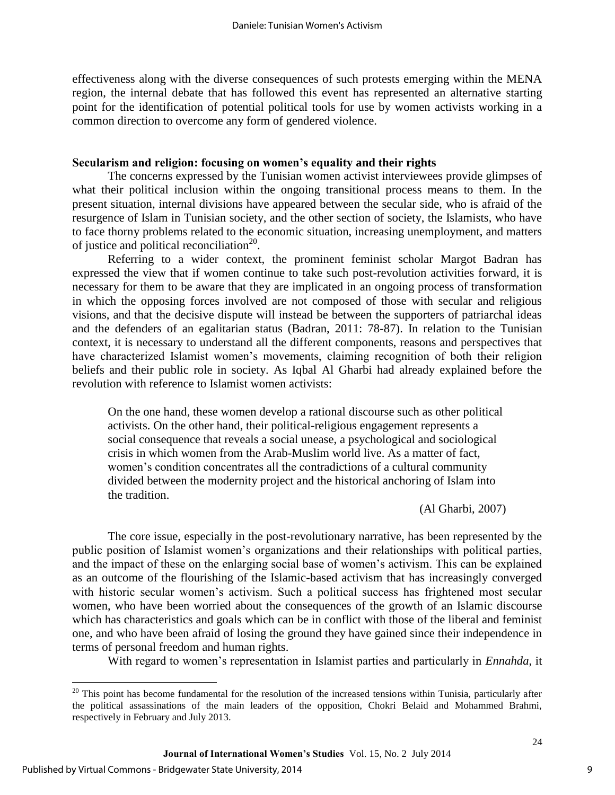effectiveness along with the diverse consequences of such protests emerging within the MENA region, the internal debate that has followed this event has represented an alternative starting point for the identification of potential political tools for use by women activists working in a common direction to overcome any form of gendered violence.

#### **Secularism and religion: focusing on women's equality and their rights**

The concerns expressed by the Tunisian women activist interviewees provide glimpses of what their political inclusion within the ongoing transitional process means to them. In the present situation, internal divisions have appeared between the secular side, who is afraid of the resurgence of Islam in Tunisian society, and the other section of society, the Islamists, who have to face thorny problems related to the economic situation, increasing unemployment, and matters of justice and political reconciliation<sup>20</sup>.

Referring to a wider context, the prominent feminist scholar Margot Badran has expressed the view that if women continue to take such post-revolution activities forward, it is necessary for them to be aware that they are implicated in an ongoing process of transformation in which the opposing forces involved are not composed of those with secular and religious visions, and that the decisive dispute will instead be between the supporters of patriarchal ideas and the defenders of an egalitarian status (Badran, 2011: 78-87). In relation to the Tunisian context, it is necessary to understand all the different components, reasons and perspectives that have characterized Islamist women's movements, claiming recognition of both their religion beliefs and their public role in society. As Iqbal Al Gharbi had already explained before the revolution with reference to Islamist women activists:

On the one hand, these women develop a rational discourse such as other political activists. On the other hand, their political-religious engagement represents a social consequence that reveals a social unease, a psychological and sociological crisis in which women from the Arab-Muslim world live. As a matter of fact, women's condition concentrates all the contradictions of a cultural community divided between the modernity project and the historical anchoring of Islam into the tradition.

(Al Gharbi, 2007)

The core issue, especially in the post-revolutionary narrative, has been represented by the public position of Islamist women's organizations and their relationships with political parties, and the impact of these on the enlarging social base of women's activism. This can be explained as an outcome of the flourishing of the Islamic-based activism that has increasingly converged with historic secular women's activism. Such a political success has frightened most secular women, who have been worried about the consequences of the growth of an Islamic discourse which has characteristics and goals which can be in conflict with those of the liberal and feminist one, and who have been afraid of losing the ground they have gained since their independence in terms of personal freedom and human rights.

With regard to women's representation in Islamist parties and particularly in *Ennahda*, it

 $\overline{a}$ 

<sup>&</sup>lt;sup>20</sup> This point has become fundamental for the resolution of the increased tensions within Tunisia, particularly after the political assassinations of the main leaders of the opposition, Chokri Belaid and Mohammed Brahmi, respectively in February and July 2013.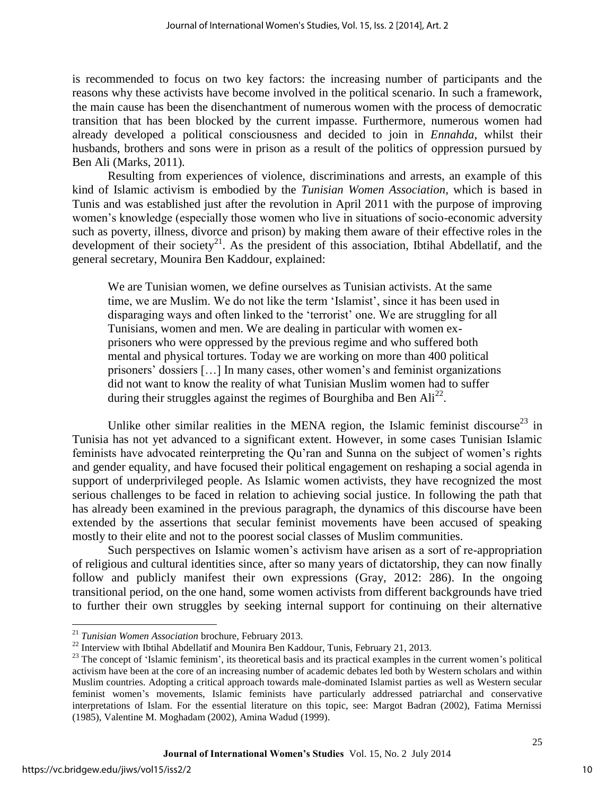is recommended to focus on two key factors: the increasing number of participants and the reasons why these activists have become involved in the political scenario. In such a framework, the main cause has been the disenchantment of numerous women with the process of democratic transition that has been blocked by the current impasse. Furthermore, numerous women had already developed a political consciousness and decided to join in *Ennahda*, whilst their husbands, brothers and sons were in prison as a result of the politics of oppression pursued by Ben Ali (Marks, 2011).

Resulting from experiences of violence, discriminations and arrests, an example of this kind of Islamic activism is embodied by the *Tunisian Women Association*, which is based in Tunis and was established just after the revolution in April 2011 with the purpose of improving women's knowledge (especially those women who live in situations of socio-economic adversity such as poverty, illness, divorce and prison) by making them aware of their effective roles in the development of their society<sup>21</sup>. As the president of this association, Ibtihal Abdellatif, and the general secretary, Mounira Ben Kaddour, explained:

We are Tunisian women, we define ourselves as Tunisian activists. At the same time, we are Muslim. We do not like the term 'Islamist', since it has been used in disparaging ways and often linked to the 'terrorist' one. We are struggling for all Tunisians, women and men. We are dealing in particular with women exprisoners who were oppressed by the previous regime and who suffered both mental and physical tortures. Today we are working on more than 400 political prisoners' dossiers […] In many cases, other women's and feminist organizations did not want to know the reality of what Tunisian Muslim women had to suffer during their struggles against the regimes of Bourghiba and Ben  $\text{Ali}^{22}$ .

Unlike other similar realities in the MENA region, the Islamic feminist discourse<sup>23</sup> in Tunisia has not yet advanced to a significant extent. However, in some cases Tunisian Islamic feminists have advocated reinterpreting the Qu'ran and Sunna on the subject of women's rights and gender equality, and have focused their political engagement on reshaping a social agenda in support of underprivileged people. As Islamic women activists, they have recognized the most serious challenges to be faced in relation to achieving social justice. In following the path that has already been examined in the previous paragraph, the dynamics of this discourse have been extended by the assertions that secular feminist movements have been accused of speaking mostly to their elite and not to the poorest social classes of Muslim communities.

Such perspectives on Islamic women's activism have arisen as a sort of re-appropriation of religious and cultural identities since, after so many years of dictatorship, they can now finally follow and publicly manifest their own expressions (Gray, 2012: 286). In the ongoing transitional period, on the one hand, some women activists from different backgrounds have tried to further their own struggles by seeking internal support for continuing on their alternative

 $\overline{a}$ 

<sup>21</sup> *Tunisian Women Association* brochure, February 2013.

<sup>&</sup>lt;sup>22</sup> Interview with Ibtihal Abdellatif and Mounira Ben Kaddour, Tunis, February 21, 2013.

<sup>&</sup>lt;sup>23</sup> The concept of 'Islamic feminism', its theoretical basis and its practical examples in the current women's political activism have been at the core of an increasing number of academic debates led both by Western scholars and within Muslim countries. Adopting a critical approach towards male-dominated Islamist parties as well as Western secular feminist women's movements, Islamic feminists have particularly addressed patriarchal and conservative interpretations of Islam. For the essential literature on this topic, see: Margot Badran (2002), Fatima Mernissi (1985), Valentine M. Moghadam (2002), Amina Wadud (1999).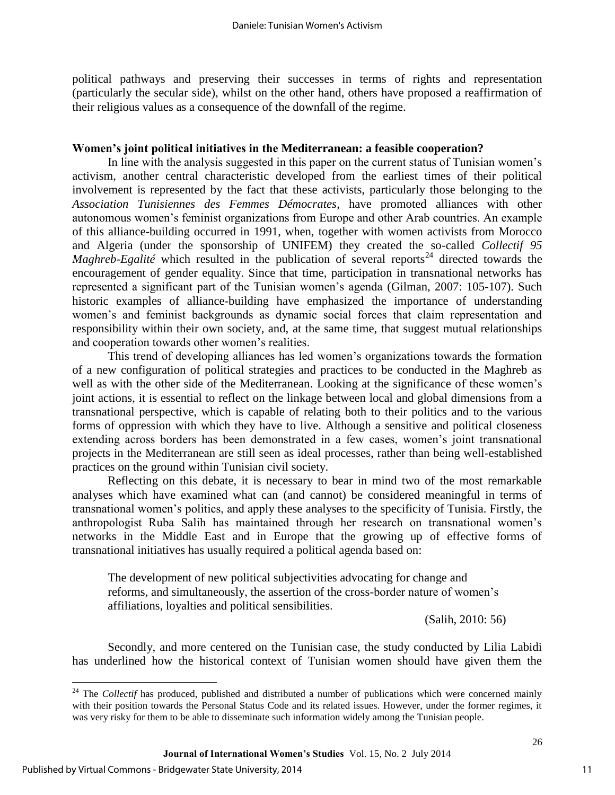political pathways and preserving their successes in terms of rights and representation (particularly the secular side), whilst on the other hand, others have proposed a reaffirmation of their religious values as a consequence of the downfall of the regime.

#### **Women's joint political initiatives in the Mediterranean: a feasible cooperation?**

In line with the analysis suggested in this paper on the current status of Tunisian women's activism, another central characteristic developed from the earliest times of their political involvement is represented by the fact that these activists, particularly those belonging to the *Association Tunisiennes des Femmes Démocrates*, have promoted alliances with other autonomous women's feminist organizations from Europe and other Arab countries. An example of this alliance-building occurred in 1991, when, together with women activists from Morocco and Algeria (under the sponsorship of UNIFEM) they created the so-called *Collectif 95 Maghreb-Egalité* which resulted in the publication of several reports<sup>24</sup> directed towards the encouragement of gender equality. Since that time, participation in transnational networks has represented a significant part of the Tunisian women's agenda (Gilman, 2007: 105-107). Such historic examples of alliance-building have emphasized the importance of understanding women's and feminist backgrounds as dynamic social forces that claim representation and responsibility within their own society, and, at the same time, that suggest mutual relationships and cooperation towards other women's realities.

This trend of developing alliances has led women's organizations towards the formation of a new configuration of political strategies and practices to be conducted in the Maghreb as well as with the other side of the Mediterranean. Looking at the significance of these women's joint actions, it is essential to reflect on the linkage between local and global dimensions from a transnational perspective, which is capable of relating both to their politics and to the various forms of oppression with which they have to live. Although a sensitive and political closeness extending across borders has been demonstrated in a few cases, women's joint transnational projects in the Mediterranean are still seen as ideal processes, rather than being well-established practices on the ground within Tunisian civil society.

Reflecting on this debate, it is necessary to bear in mind two of the most remarkable analyses which have examined what can (and cannot) be considered meaningful in terms of transnational women's politics, and apply these analyses to the specificity of Tunisia. Firstly, the anthropologist Ruba Salih has maintained through her research on transnational women's networks in the Middle East and in Europe that the growing up of effective forms of transnational initiatives has usually required a political agenda based on:

The development of new political subjectivities advocating for change and reforms, and simultaneously, the assertion of the cross-border nature of women's affiliations, loyalties and political sensibilities.

(Salih, 2010: 56)

Secondly, and more centered on the Tunisian case, the study conducted by Lilia Labidi has underlined how the historical context of Tunisian women should have given them the

 $\overline{a}$ 

<sup>&</sup>lt;sup>24</sup> The *Collectif* has produced, published and distributed a number of publications which were concerned mainly with their position towards the Personal Status Code and its related issues. However, under the former regimes, it was very risky for them to be able to disseminate such information widely among the Tunisian people.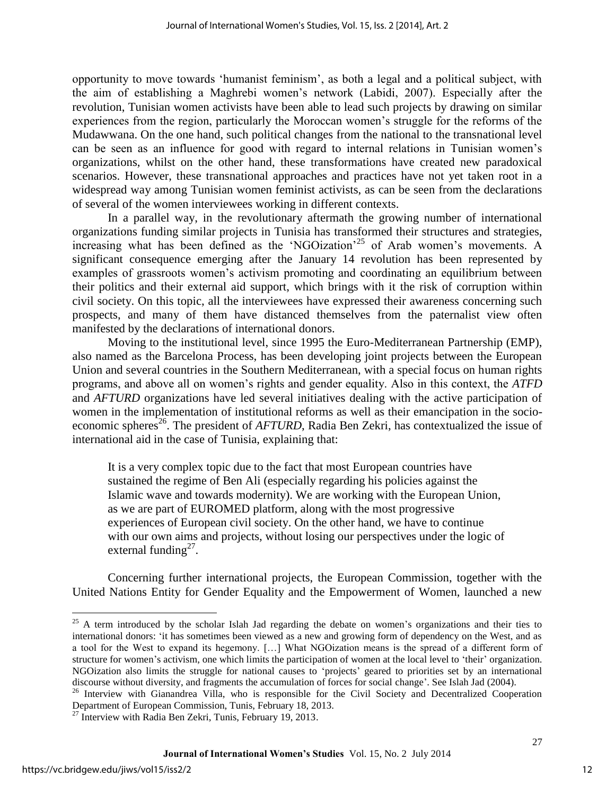opportunity to move towards 'humanist feminism', as both a legal and a political subject, with the aim of establishing a Maghrebi women's network (Labidi, 2007). Especially after the revolution, Tunisian women activists have been able to lead such projects by drawing on similar experiences from the region, particularly the Moroccan women's struggle for the reforms of the Mudawwana. On the one hand, such political changes from the national to the transnational level can be seen as an influence for good with regard to internal relations in Tunisian women's organizations, whilst on the other hand, these transformations have created new paradoxical scenarios. However, these transnational approaches and practices have not yet taken root in a widespread way among Tunisian women feminist activists, as can be seen from the declarations of several of the women interviewees working in different contexts.

In a parallel way, in the revolutionary aftermath the growing number of international organizations funding similar projects in Tunisia has transformed their structures and strategies, increasing what has been defined as the 'NGOization'<sup>25</sup> of Arab women's movements. A significant consequence emerging after the January 14 revolution has been represented by examples of grassroots women's activism promoting and coordinating an equilibrium between their politics and their external aid support, which brings with it the risk of corruption within civil society. On this topic, all the interviewees have expressed their awareness concerning such prospects, and many of them have distanced themselves from the paternalist view often manifested by the declarations of international donors.

Moving to the institutional level, since 1995 the Euro-Mediterranean Partnership (EMP), also named as the Barcelona Process, has been developing joint projects between the European Union and several countries in the Southern Mediterranean, with a special focus on human rights programs, and above all on women's rights and gender equality. Also in this context, the *ATFD* and *AFTURD* organizations have led several initiatives dealing with the active participation of women in the implementation of institutional reforms as well as their emancipation in the socioeconomic spheres<sup>26</sup>. The president of *AFTURD*, Radia Ben Zekri, has contextualized the issue of international aid in the case of Tunisia, explaining that:

It is a very complex topic due to the fact that most European countries have sustained the regime of Ben Ali (especially regarding his policies against the Islamic wave and towards modernity). We are working with the European Union, as we are part of EUROMED platform, along with the most progressive experiences of European civil society. On the other hand, we have to continue with our own aims and projects, without losing our perspectives under the logic of external funding<sup>27</sup>.

Concerning further international projects, the European Commission, together with the United Nations Entity for Gender Equality and the Empowerment of Women, launched a new

 $\overline{a}$ 

<sup>&</sup>lt;sup>25</sup> A term introduced by the scholar Islah Jad regarding the debate on women's organizations and their ties to international donors: 'it has sometimes been viewed as a new and growing form of dependency on the West, and as a tool for the West to expand its hegemony. […] What NGOization means is the spread of a different form of structure for women's activism, one which limits the participation of women at the local level to 'their' organization. NGOization also limits the struggle for national causes to 'projects' geared to priorities set by an international discourse without diversity, and fragments the accumulation of forces for social change'. See Islah Jad (2004).

<sup>&</sup>lt;sup>26</sup> Interview with Gianandrea Villa, who is responsible for the Civil Society and Decentralized Cooperation Department of European Commission, Tunis, February 18, 2013.

 $^{27}$  Interview with Radia Ben Zekri, Tunis, February 19, 2013.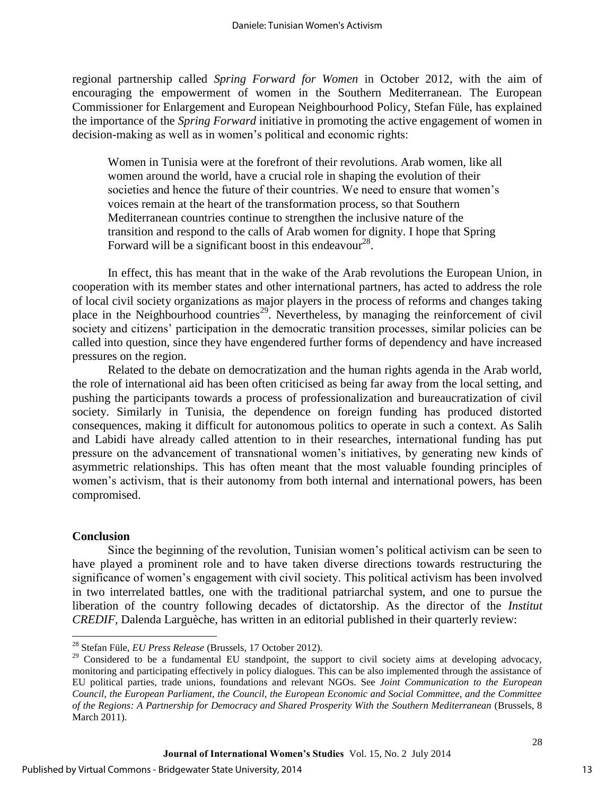regional partnership called *Spring Forward for Women* in October 2012, with the aim of encouraging the empowerment of women in the Southern Mediterranean. The European Commissioner for Enlargement and European Neighbourhood Policy, Stefan Füle, has explained the importance of the *Spring Forward* initiative in promoting the active engagement of women in decision-making as well as in women's political and economic rights:

Women in Tunisia were at the forefront of their revolutions. Arab women, like all women around the world, have a crucial role in shaping the evolution of their societies and hence the future of their countries. We need to ensure that women's voices remain at the heart of the transformation process, so that Southern Mediterranean countries continue to strengthen the inclusive nature of the transition and respond to the calls of Arab women for dignity. I hope that Spring Forward will be a significant boost in this endeavour<sup>28</sup>.

In effect, this has meant that in the wake of the Arab revolutions the European Union, in cooperation with its member states and other international partners, has acted to address the role of local civil society organizations as major players in the process of reforms and changes taking place in the Neighbourhood countries<sup>29</sup>. Nevertheless, by managing the reinforcement of civil society and citizens' participation in the democratic transition processes, similar policies can be called into question, since they have engendered further forms of dependency and have increased pressures on the region.

Related to the debate on democratization and the human rights agenda in the Arab world, the role of international aid has been often criticised as being far away from the local setting, and pushing the participants towards a process of professionalization and bureaucratization of civil society. Similarly in Tunisia, the dependence on foreign funding has produced distorted consequences, making it difficult for autonomous politics to operate in such a context. As Salih and Labidi have already called attention to in their researches, international funding has put pressure on the advancement of transnational women's initiatives, by generating new kinds of asymmetric relationships. This has often meant that the most valuable founding principles of women's activism, that is their autonomy from both internal and international powers, has been compromised.

#### **Conclusion**

 $\overline{a}$ 

Since the beginning of the revolution, Tunisian women's political activism can be seen to have played a prominent role and to have taken diverse directions towards restructuring the significance of women's engagement with civil society. This political activism has been involved in two interrelated battles, one with the traditional patriarchal system, and one to pursue the liberation of the country following decades of dictatorship. As the director of the *Institut CREDIF*, Dalenda Larguèche, has written in an editorial published in their quarterly review:

<sup>28</sup> Stefan Füle, *EU Press Release* (Brussels, 17 October 2012).

<sup>&</sup>lt;sup>29</sup> Considered to be a fundamental EU standpoint, the support to civil society aims at developing advocacy, monitoring and participating effectively in policy dialogues. This can be also implemented through the assistance of EU political parties, trade unions, foundations and relevant NGOs. See *Joint Communication to the European Council, the European Parliament, the Council, the European Economic and Social Committee, and the Committee of the Regions: A Partnership for Democracy and Shared Prosperity With the Southern Mediterranean* (Brussels, 8 March 2011).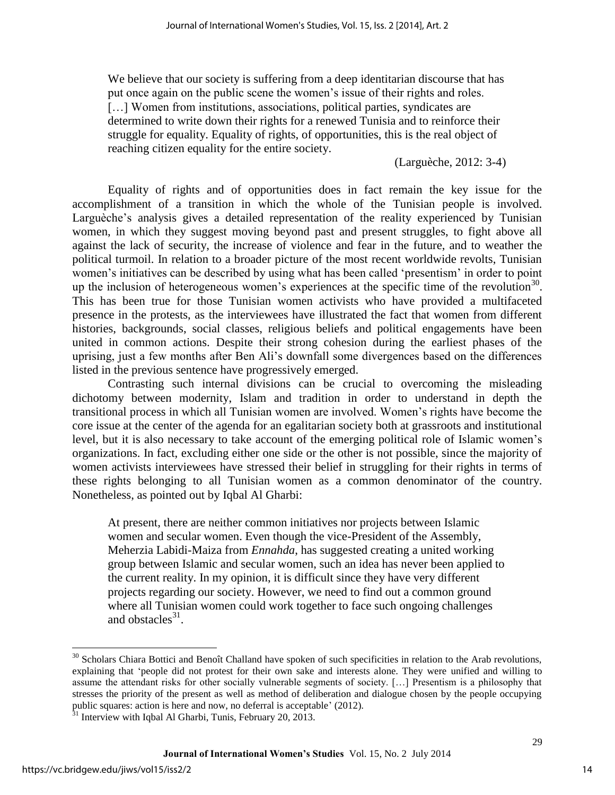We believe that our society is suffering from a deep identitarian discourse that has put once again on the public scene the women's issue of their rights and roles. [...] Women from institutions, associations, political parties, syndicates are determined to write down their rights for a renewed Tunisia and to reinforce their struggle for equality. Equality of rights, of opportunities, this is the real object of reaching citizen equality for the entire society.

(Larguèche, 2012: 3-4)

Equality of rights and of opportunities does in fact remain the key issue for the accomplishment of a transition in which the whole of the Tunisian people is involved. Larguèche's analysis gives a detailed representation of the reality experienced by Tunisian women, in which they suggest moving beyond past and present struggles, to fight above all against the lack of security, the increase of violence and fear in the future, and to weather the political turmoil. In relation to a broader picture of the most recent worldwide revolts, Tunisian women's initiatives can be described by using what has been called 'presentism' in order to point up the inclusion of heterogeneous women's experiences at the specific time of the revolution<sup>30</sup>. This has been true for those Tunisian women activists who have provided a multifaceted presence in the protests, as the interviewees have illustrated the fact that women from different histories, backgrounds, social classes, religious beliefs and political engagements have been united in common actions. Despite their strong cohesion during the earliest phases of the uprising, just a few months after Ben Ali's downfall some divergences based on the differences listed in the previous sentence have progressively emerged.

Contrasting such internal divisions can be crucial to overcoming the misleading dichotomy between modernity, Islam and tradition in order to understand in depth the transitional process in which all Tunisian women are involved. Women's rights have become the core issue at the center of the agenda for an egalitarian society both at grassroots and institutional level, but it is also necessary to take account of the emerging political role of Islamic women's organizations. In fact, excluding either one side or the other is not possible, since the majority of women activists interviewees have stressed their belief in struggling for their rights in terms of these rights belonging to all Tunisian women as a common denominator of the country. Nonetheless, as pointed out by Iqbal Al Gharbi:

At present, there are neither common initiatives nor projects between Islamic women and secular women. Even though the vice-President of the Assembly, Meherzia Labidi-Maiza from *Ennahda*, has suggested creating a united working group between Islamic and secular women, such an idea has never been applied to the current reality. In my opinion, it is difficult since they have very different projects regarding our society. However, we need to find out a common ground where all Tunisian women could work together to face such ongoing challenges and obstacles $31$ .

 $\overline{a}$ 

 $30$  Scholars Chiara Bottici and Benoît Challand have spoken of such specificities in relation to the Arab revolutions, explaining that 'people did not protest for their own sake and interests alone. They were unified and willing to assume the attendant risks for other socially vulnerable segments of society. […] Presentism is a philosophy that stresses the priority of the present as well as method of deliberation and dialogue chosen by the people occupying public squares: action is here and now, no deferral is acceptable' (2012).

 $31$  Interview with Iqbal Al Gharbi, Tunis, February 20, 2013.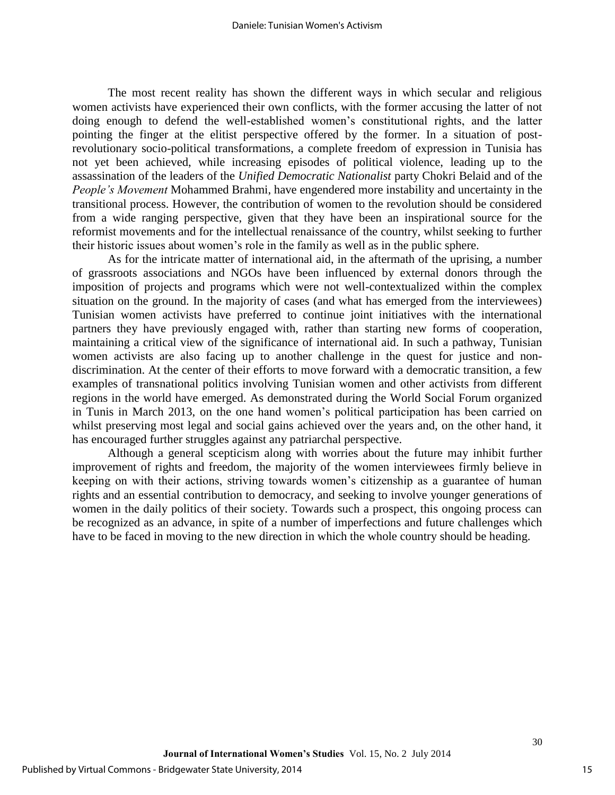The most recent reality has shown the different ways in which secular and religious women activists have experienced their own conflicts, with the former accusing the latter of not doing enough to defend the well-established women's constitutional rights, and the latter pointing the finger at the elitist perspective offered by the former. In a situation of postrevolutionary socio-political transformations, a complete freedom of expression in Tunisia has not yet been achieved, while increasing episodes of political violence, leading up to the assassination of the leaders of the *Unified Democratic Nationalist* party Chokri Belaid and of the *People's Movement* Mohammed Brahmi, have engendered more instability and uncertainty in the transitional process. However, the contribution of women to the revolution should be considered from a wide ranging perspective, given that they have been an inspirational source for the reformist movements and for the intellectual renaissance of the country, whilst seeking to further their historic issues about women's role in the family as well as in the public sphere.

As for the intricate matter of international aid, in the aftermath of the uprising, a number of grassroots associations and NGOs have been influenced by external donors through the imposition of projects and programs which were not well-contextualized within the complex situation on the ground. In the majority of cases (and what has emerged from the interviewees) Tunisian women activists have preferred to continue joint initiatives with the international partners they have previously engaged with, rather than starting new forms of cooperation, maintaining a critical view of the significance of international aid. In such a pathway, Tunisian women activists are also facing up to another challenge in the quest for justice and nondiscrimination. At the center of their efforts to move forward with a democratic transition, a few examples of transnational politics involving Tunisian women and other activists from different regions in the world have emerged. As demonstrated during the World Social Forum organized in Tunis in March 2013, on the one hand women's political participation has been carried on whilst preserving most legal and social gains achieved over the years and, on the other hand, it has encouraged further struggles against any patriarchal perspective.

Although a general scepticism along with worries about the future may inhibit further improvement of rights and freedom, the majority of the women interviewees firmly believe in keeping on with their actions, striving towards women's citizenship as a guarantee of human rights and an essential contribution to democracy, and seeking to involve younger generations of women in the daily politics of their society. Towards such a prospect, this ongoing process can be recognized as an advance, in spite of a number of imperfections and future challenges which have to be faced in moving to the new direction in which the whole country should be heading.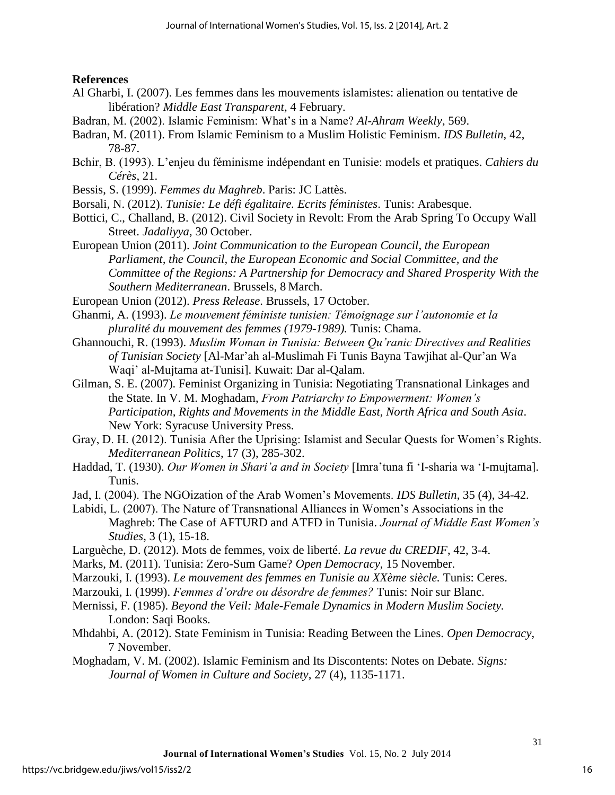### **References**

- Al Gharbi, I. (2007). Les femmes dans les mouvements islamistes: alienation ou tentative de libération? *Middle East Transparent*, 4 February.
- Badran, M. (2002). Islamic Feminism: What's in a Name? *Al-Ahram Weekly*, 569.
- Badran, M. (2011). From Islamic Feminism to a Muslim Holistic Feminism. *IDS Bulletin*, 42, 78-87.
- Bchir, B. (1993). L'enjeu du féminisme indépendant en Tunisie: models et pratiques. *Cahiers du Cérès*, 21.
- Bessis, S. (1999). *Femmes du Maghreb*. Paris: JC Lattès.
- Borsali, N. (2012). *Tunisie: Le défi égalitaire. Ecrits féministes*. Tunis: Arabesque.
- Bottici, C., Challand, B. (2012). Civil Society in Revolt: From the Arab Spring To Occupy Wall Street. *Jadaliyya*, 30 October.
- European Union (2011). *Joint Communication to the European Council, the European Parliament, the Council, the European Economic and Social Committee, and the Committee of the Regions: A Partnership for Democracy and Shared Prosperity With the Southern Mediterranean*. Brussels, 8 March.
- European Union (2012). *Press Release*. Brussels, 17 October.
- Ghanmi, A. (1993). *Le mouvement féministe tunisien: Témoignage sur l'autonomie et la pluralité du mouvement des femmes (1979-1989).* Tunis: Chama.
- Ghannouchi, R. (1993). *Muslim Woman in Tunisia: Between Qu'ranic Directives and Realities of Tunisian Society* [Al-Mar'ah al-Muslimah Fi Tunis Bayna Tawjihat al-Qur'an Wa Waqi' al-Mujtama at-Tunisi]. Kuwait: Dar al-Qalam.
- Gilman, S. E. (2007). Feminist Organizing in Tunisia: Negotiating Transnational Linkages and the State. In V. M. Moghadam, *From Patriarchy to Empowerment: Women's Participation, Rights and Movements in the Middle East, North Africa and South Asia*. New York: Syracuse University Press.
- Gray, D. H. (2012). Tunisia After the Uprising: Islamist and Secular Quests for Women's Rights. *Mediterranean Politics*, 17 (3), 285-302.
- Haddad, T. (1930). *Our Women in Shari'a and in Society* [Imra'tuna fi 'I-sharia wa 'I-mujtama]. Tunis.
- Jad, I. (2004). The NGOization of the Arab Women's Movements. *IDS Bulletin*, 35 (4), 34-42.
- Labidi, L. (2007). The Nature of Transnational Alliances in Women's Associations in the Maghreb: The Case of AFTURD and ATFD in Tunisia. *Journal of Middle East Women's Studies*, 3 (1), 15-18.
- Larguèche, D. (2012). Mots de femmes, voix de liberté. *La revue du CREDIF*, 42, 3-4.
- Marks, M. (2011). Tunisia: Zero-Sum Game? *Open Democracy*, 15 November.
- Marzouki, I. (1993). *Le mouvement des femmes en Tunisie au XXème siècle.* Tunis: Ceres.
- Marzouki, I. (1999). *Femmes d'ordre ou désordre de femmes?* Tunis: Noir sur Blanc.
- Mernissi, F. (1985). *Beyond the Veil: Male-Female Dynamics in Modern Muslim Society.* London: Saqi Books.
- Mhdahbi, A. (2012). State Feminism in Tunisia: Reading Between the Lines. *Open Democracy*, 7 November.
- Moghadam, V. M. (2002). Islamic Feminism and Its Discontents: Notes on Debate. *Signs: Journal of Women in Culture and Society*, 27 (4), 1135-1171.